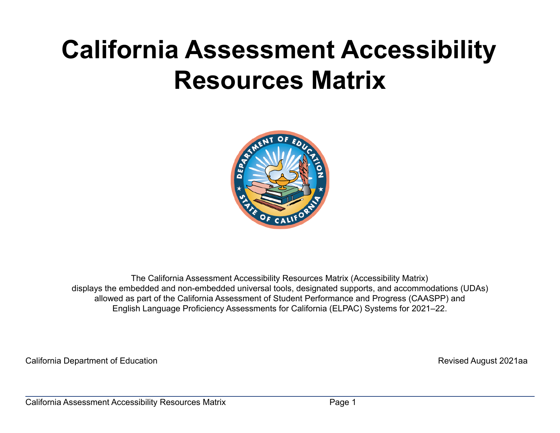# **California Assessment Accessibility Resources Matrix**



The California Assessment Accessibility Resources Matrix (Accessibility Matrix) displays the embedded and non-embedded universal tools, designated supports, and accommodations (UDAs) allowed as part of the California Assessment of Student Performance and Progress (CAASPP) and English Language Proficiency Assessments for California (ELPAC) Systems for 2021–22.

California Department of Education **Revised August 2021aa**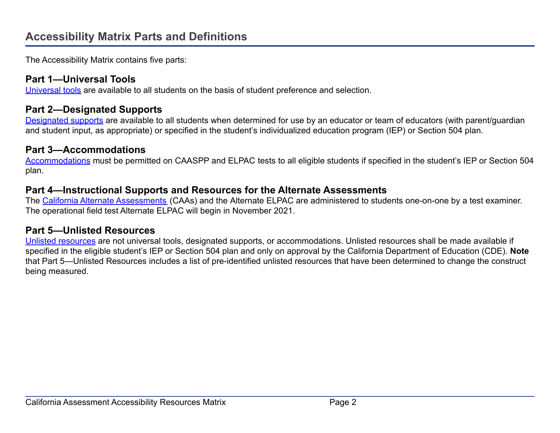The Accessibility Matrix contains five parts:

#### **Part 1—Universal Tools**

[Universal tools](#page-5-0) are available to all students on the basis of student preference and selection.

#### **Part 2—Designated Supports**

[Designated supports](#page-13-0) are available to all students when determined for use by an educator or team of educators (with parent/guardian and student input, as appropriate) or specified in the student's individualized education program (IEP) or Section 504 plan.

#### **Part 3—Accommodations**

[Accommodations](#page-23-0) must be permitted on CAASPP and ELPAC tests to all eligible students if specified in the student's IEP or Section 504 plan.

#### <span id="page-1-0"></span>**Part 4—Instructional Supports and Resources for the Alternate Assessments**

The [California Alternate Assessments](#page-1-0) (CAAs) and the Alternate ELPAC are administered to students one-on-one by a test examiner. The operational field test Alternate ELPAC will begin in November 2021.

#### **Part 5—Unlisted Resources**

[Unlisted resources](#page-32-0) are not universal tools, designated supports, or accommodations. Unlisted resources shall be made available if specified in the eligible student's IEP or Section 504 plan and only on approval by the California Department of Education (CDE). **Note** that Part 5—Unlisted Resources includes a list of pre-identified unlisted resources that have been determined to change the construct being measured.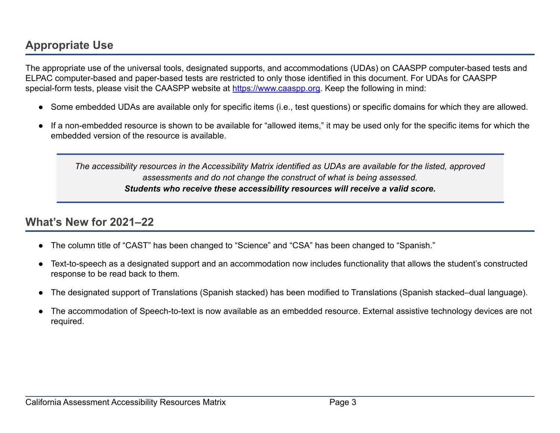# **Appropriate Use**

The appropriate use of the universal tools, designated supports, and accommodations (UDAs) on CAASPP computer-based tests and ELPAC computer-based and paper-based tests are restricted to only those identified in this document. For UDAs for CAASPP special-form tests, please visit the CAASPP website at [https://www.caaspp.org.](https://www.caaspp.org/) Keep the following in mind:

- Some embedded UDAs are available only for specific items (i.e., test questions) or specific domains for which they are allowed.
- If a non-embedded resource is shown to be available for "allowed items," it may be used only for the specific items for which the embedded version of the resource is available.

*The accessibility resources in the Accessibility Matrix identified as UDAs are available for the listed, approved assessments and do not change the construct of what is being assessed. Students who receive these accessibility resources will receive a valid score.*

## **What's New for 2021–22**

- The column title of "CAST" has been changed to "Science" and "CSA" has been changed to "Spanish."
- Text-to-speech as a designated support and an accommodation now includes functionality that allows the student's constructed response to be read back to them.
- The designated support of Translations (Spanish stacked) has been modified to Translations (Spanish stacked–dual language).
- The accommodation of Speech-to-text is now available as an embedded resource. External assistive technology devices are not required.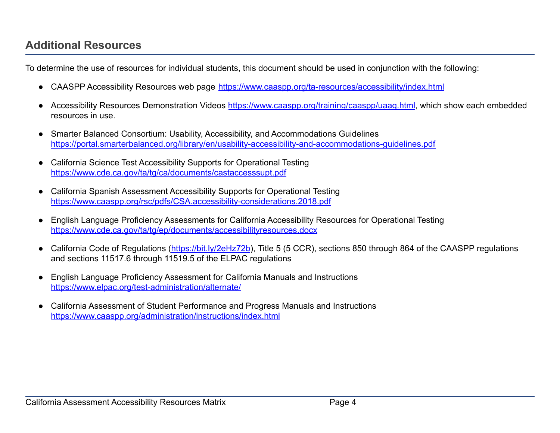## **Additional Resources**

To determine the use of resources for individual students, this document should be used in conjunction with the following:

- CAASPP Accessibility Resources web page <https://www.caaspp.org/ta-resources/accessibility/index.html>
- Accessibility Resources Demonstration Videos <https://www.caaspp.org/training/caaspp/uaag.html>, which show each embedded resources in use.
- **Smarter Balanced Consortium: Usability, Accessibility, and Accommodations Guidelines** <https://portal.smarterbalanced.org/library/en/usability-accessibility-and-accommodations-guidelines.pdf>
- California Science Test Accessibility Supports for Operational Testing <https://www.cde.ca.gov/ta/tg/ca/documents/castaccesssupt.pdf>
- **California Spanish Assessment Accessibility Supports for Operational Testing** <https://www.caaspp.org/rsc/pdfs/CSA.accessibility-considerations.2018.pdf>
- English Language Proficiency Assessments for California Accessibility Resources for Operational Testing <https://www.cde.ca.gov/ta/tg/ep/documents/accessibilityresources.docx>
- California Code of Regulations (<https://bit.ly/2eHz72b>), Title 5 (5 CCR), sections 850 through 864 of the CAASPP regulations and sections 11517.6 through 11519.5 of the ELPAC regulations
- English Language Proficiency Assessment for California Manuals and Instructions <https://www.elpac.org/test-administration/alternate/>
- California Assessment of Student Performance and Progress Manuals and Instructions <https://www.caaspp.org/administration/instructions/index.html>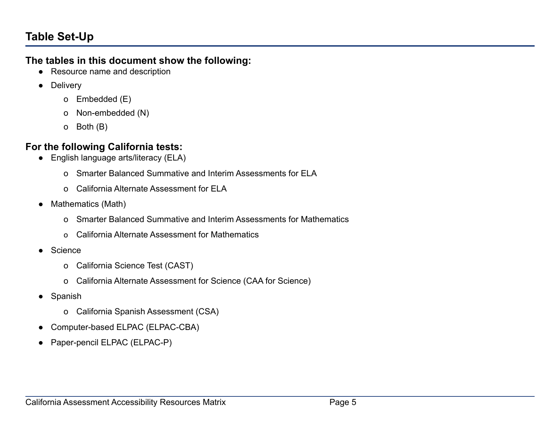## **Table Set-Up**

#### **The tables in this document show the following:**

- Resource name and description
- Delivery
	- o Embedded (E)
	- o Non-embedded (N)
	- o Both (B)

## **For the following California tests:**

- English language arts/literacy (ELA)
	- o Smarter Balanced Summative and Interim Assessments for ELA
	- o California Alternate Assessment for ELA
- Mathematics (Math)
	- o Smarter Balanced Summative and Interim Assessments for Mathematics
	- o California Alternate Assessment for Mathematics
- Science
	- o California Science Test (CAST)
	- o California Alternate Assessment for Science (CAA for Science)
- Spanish
	- o California Spanish Assessment (CSA)
- Computer-based ELPAC (ELPAC-CBA)
- Paper-pencil ELPAC (ELPAC-P)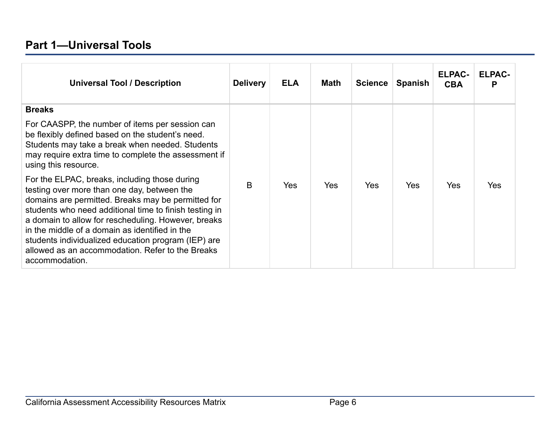## <span id="page-5-0"></span>**Part 1—Universal Tools**

| <b>Universal Tool / Description</b>                                                                                                                                                                                                                                                                                                                                                                                                                | <b>Delivery</b> | <b>ELA</b> | Math | <b>Science</b> | <b>Spanish</b> | <b>ELPAC-</b><br><b>CBA</b> | <b>ELPAC-</b> |
|----------------------------------------------------------------------------------------------------------------------------------------------------------------------------------------------------------------------------------------------------------------------------------------------------------------------------------------------------------------------------------------------------------------------------------------------------|-----------------|------------|------|----------------|----------------|-----------------------------|---------------|
| <b>Breaks</b>                                                                                                                                                                                                                                                                                                                                                                                                                                      |                 |            |      |                |                |                             |               |
| For CAASPP, the number of items per session can<br>be flexibly defined based on the student's need.<br>Students may take a break when needed. Students<br>may require extra time to complete the assessment if<br>using this resource.                                                                                                                                                                                                             |                 |            |      |                |                |                             |               |
| For the ELPAC, breaks, including those during<br>testing over more than one day, between the<br>domains are permitted. Breaks may be permitted for<br>students who need additional time to finish testing in<br>a domain to allow for rescheduling. However, breaks<br>in the middle of a domain as identified in the<br>students individualized education program (IEP) are<br>allowed as an accommodation. Refer to the Breaks<br>accommodation. | B               | <b>Yes</b> | Yes  | <b>Yes</b>     | <b>Yes</b>     | <b>Yes</b>                  | Yes           |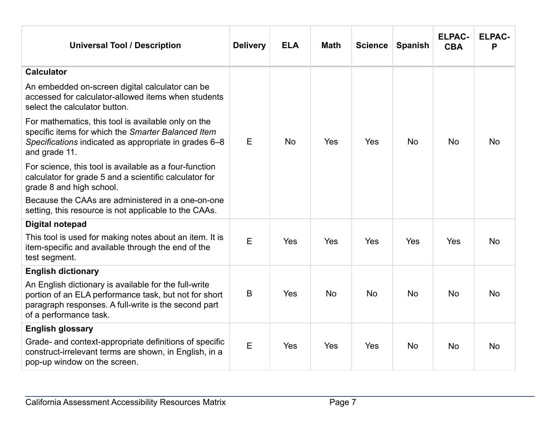| <b>Universal Tool / Description</b>                                                                                                                                                              | <b>Delivery</b> | <b>ELA</b> | <b>Math</b> | <b>Science</b> | <b>Spanish</b> | <b>ELPAC-</b><br><b>CBA</b> | <b>ELPAC-</b><br>Ρ |
|--------------------------------------------------------------------------------------------------------------------------------------------------------------------------------------------------|-----------------|------------|-------------|----------------|----------------|-----------------------------|--------------------|
| <b>Calculator</b>                                                                                                                                                                                |                 |            |             |                |                |                             |                    |
| An embedded on-screen digital calculator can be<br>accessed for calculator-allowed items when students<br>select the calculator button.                                                          |                 |            |             |                |                |                             |                    |
| For mathematics, this tool is available only on the<br>specific items for which the Smarter Balanced Item<br>Specifications indicated as appropriate in grades 6–8<br>and grade 11.              | E               | <b>No</b>  | Yes         | Yes            | <b>No</b>      | <b>No</b>                   | <b>No</b>          |
| For science, this tool is available as a four-function<br>calculator for grade 5 and a scientific calculator for<br>grade 8 and high school.                                                     |                 |            |             |                |                |                             |                    |
| Because the CAAs are administered in a one-on-one<br>setting, this resource is not applicable to the CAAs.                                                                                       |                 |            |             |                |                |                             |                    |
| <b>Digital notepad</b>                                                                                                                                                                           |                 |            |             |                |                |                             |                    |
| This tool is used for making notes about an item. It is<br>item-specific and available through the end of the<br>test segment.                                                                   | E               | Yes        | Yes         | Yes            | Yes            | Yes                         | <b>No</b>          |
| <b>English dictionary</b>                                                                                                                                                                        |                 |            |             |                |                |                             |                    |
| An English dictionary is available for the full-write<br>portion of an ELA performance task, but not for short<br>paragraph responses. A full-write is the second part<br>of a performance task. | B               | Yes        | <b>No</b>   | <b>No</b>      | <b>No</b>      | <b>No</b>                   | <b>No</b>          |
| <b>English glossary</b>                                                                                                                                                                          |                 |            |             |                |                |                             |                    |
| Grade- and context-appropriate definitions of specific<br>construct-irrelevant terms are shown, in English, in a<br>pop-up window on the screen.                                                 | E               | Yes        | Yes         | Yes            | <b>No</b>      | <b>No</b>                   | <b>No</b>          |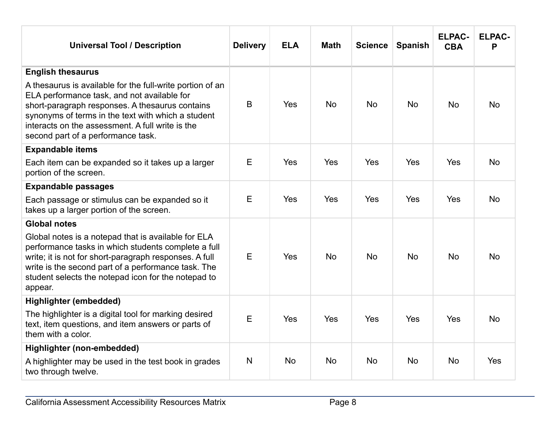| <b>Universal Tool / Description</b>                                                                                                                                                                                                                                                                         | <b>Delivery</b> | <b>ELA</b> | <b>Math</b> | <b>Science</b> | <b>Spanish</b> | <b>ELPAC-</b><br><b>CBA</b> | <b>ELPAC-</b><br>P |
|-------------------------------------------------------------------------------------------------------------------------------------------------------------------------------------------------------------------------------------------------------------------------------------------------------------|-----------------|------------|-------------|----------------|----------------|-----------------------------|--------------------|
| <b>English thesaurus</b>                                                                                                                                                                                                                                                                                    |                 |            |             |                |                |                             |                    |
| A thesaurus is available for the full-write portion of an<br>ELA performance task, and not available for<br>short-paragraph responses. A thesaurus contains<br>synonyms of terms in the text with which a student<br>interacts on the assessment. A full write is the<br>second part of a performance task. | B               | Yes        | <b>No</b>   | <b>No</b>      | <b>No</b>      | <b>No</b>                   | <b>No</b>          |
| <b>Expandable items</b>                                                                                                                                                                                                                                                                                     |                 |            |             |                |                |                             |                    |
| Each item can be expanded so it takes up a larger<br>portion of the screen.                                                                                                                                                                                                                                 | E               | Yes        | Yes         | Yes            | Yes            | Yes                         | <b>No</b>          |
| <b>Expandable passages</b>                                                                                                                                                                                                                                                                                  |                 |            |             |                |                |                             |                    |
| Each passage or stimulus can be expanded so it<br>takes up a larger portion of the screen.                                                                                                                                                                                                                  | E               | Yes        | Yes         | Yes            | Yes            | Yes                         | <b>No</b>          |
| <b>Global notes</b>                                                                                                                                                                                                                                                                                         |                 |            |             |                |                |                             |                    |
| Global notes is a notepad that is available for ELA<br>performance tasks in which students complete a full<br>write; it is not for short-paragraph responses. A full<br>write is the second part of a performance task. The<br>student selects the notepad icon for the notepad to<br>appear.               | E               | Yes        | <b>No</b>   | <b>No</b>      | <b>No</b>      | <b>No</b>                   | <b>No</b>          |
| <b>Highlighter (embedded)</b>                                                                                                                                                                                                                                                                               |                 |            |             |                |                |                             |                    |
| The highlighter is a digital tool for marking desired<br>text, item questions, and item answers or parts of<br>them with a color.                                                                                                                                                                           | E               | Yes        | Yes         | Yes            | <b>Yes</b>     | Yes                         | <b>No</b>          |
| Highlighter (non-embedded)                                                                                                                                                                                                                                                                                  |                 |            |             |                |                |                             |                    |
| A highlighter may be used in the test book in grades<br>two through twelve.                                                                                                                                                                                                                                 | N               | <b>No</b>  | <b>No</b>   | <b>No</b>      | <b>No</b>      | <b>No</b>                   | Yes                |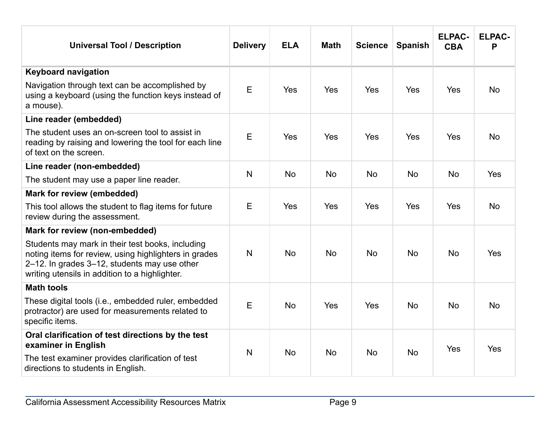| <b>Universal Tool / Description</b>                                                                                                                                                                         | <b>Delivery</b> | <b>ELA</b> | <b>Math</b> | <b>Science</b> | <b>Spanish</b> | <b>ELPAC-</b><br><b>CBA</b> | <b>ELPAC-</b><br>P |
|-------------------------------------------------------------------------------------------------------------------------------------------------------------------------------------------------------------|-----------------|------------|-------------|----------------|----------------|-----------------------------|--------------------|
| <b>Keyboard navigation</b>                                                                                                                                                                                  |                 |            |             |                |                |                             |                    |
| Navigation through text can be accomplished by<br>using a keyboard (using the function keys instead of<br>a mouse).                                                                                         | E               | <b>Yes</b> | <b>Yes</b>  | Yes            | Yes            | <b>Yes</b>                  | <b>No</b>          |
| Line reader (embedded)                                                                                                                                                                                      |                 |            |             |                |                |                             |                    |
| The student uses an on-screen tool to assist in<br>reading by raising and lowering the tool for each line<br>of text on the screen.                                                                         | E               | <b>Yes</b> | <b>Yes</b>  | Yes            | Yes            | Yes                         | <b>No</b>          |
| Line reader (non-embedded)                                                                                                                                                                                  |                 |            |             |                |                |                             |                    |
| The student may use a paper line reader.                                                                                                                                                                    | N               | <b>No</b>  | <b>No</b>   | <b>No</b>      | <b>No</b>      | <b>No</b>                   | Yes                |
| Mark for review (embedded)                                                                                                                                                                                  |                 |            |             |                |                |                             |                    |
| This tool allows the student to flag items for future<br>review during the assessment.                                                                                                                      | E               | <b>Yes</b> | Yes         | Yes            | Yes            | Yes                         | <b>No</b>          |
| Mark for review (non-embedded)                                                                                                                                                                              |                 |            |             |                |                |                             |                    |
| Students may mark in their test books, including<br>noting items for review, using highlighters in grades<br>2-12. In grades 3-12, students may use other<br>writing utensils in addition to a highlighter. | N               | <b>No</b>  | <b>No</b>   | <b>No</b>      | <b>No</b>      | <b>No</b>                   | Yes                |
| <b>Math tools</b>                                                                                                                                                                                           |                 |            |             |                |                |                             |                    |
| These digital tools (i.e., embedded ruler, embedded<br>protractor) are used for measurements related to<br>specific items.                                                                                  | E               | <b>No</b>  | <b>Yes</b>  | Yes            | <b>No</b>      | <b>No</b>                   | <b>No</b>          |
| Oral clarification of test directions by the test<br>examiner in English                                                                                                                                    |                 |            |             |                |                | Yes                         | Yes                |
| The test examiner provides clarification of test<br>directions to students in English.                                                                                                                      | N               | <b>No</b>  | <b>No</b>   | <b>No</b>      | <b>No</b>      |                             |                    |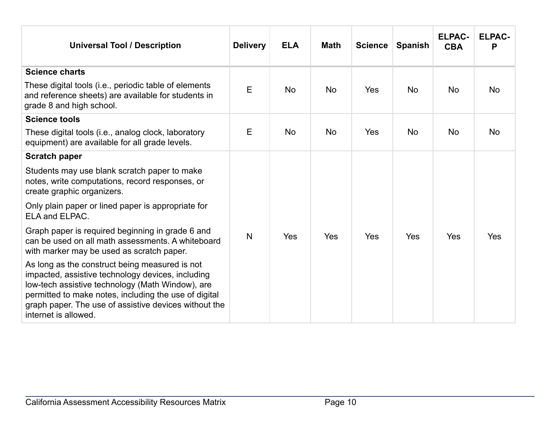| <b>Universal Tool / Description</b>                                                                                                                                                                                                                                                               | <b>Delivery</b> | <b>ELA</b> | <b>Math</b> | <b>Science</b> | <b>Spanish</b> | <b>ELPAC-</b><br><b>CBA</b> | <b>ELPAC-</b><br>Р |
|---------------------------------------------------------------------------------------------------------------------------------------------------------------------------------------------------------------------------------------------------------------------------------------------------|-----------------|------------|-------------|----------------|----------------|-----------------------------|--------------------|
| <b>Science charts</b>                                                                                                                                                                                                                                                                             |                 |            |             |                |                |                             |                    |
| These digital tools (i.e., periodic table of elements<br>and reference sheets) are available for students in<br>grade 8 and high school.                                                                                                                                                          | E               | <b>No</b>  | <b>No</b>   | Yes            | <b>No</b>      | No                          | <b>No</b>          |
| <b>Science tools</b>                                                                                                                                                                                                                                                                              |                 |            |             |                |                |                             |                    |
| These digital tools (i.e., analog clock, laboratory<br>equipment) are available for all grade levels.                                                                                                                                                                                             | E               | <b>No</b>  | <b>No</b>   | Yes            | <b>No</b>      | <b>No</b>                   | <b>No</b>          |
| <b>Scratch paper</b>                                                                                                                                                                                                                                                                              |                 |            |             |                |                |                             |                    |
| Students may use blank scratch paper to make<br>notes, write computations, record responses, or<br>create graphic organizers.                                                                                                                                                                     |                 |            |             |                |                |                             |                    |
| Only plain paper or lined paper is appropriate for<br>ELA and ELPAC.                                                                                                                                                                                                                              |                 |            |             |                |                |                             |                    |
| Graph paper is required beginning in grade 6 and<br>can be used on all math assessments. A whiteboard<br>with marker may be used as scratch paper.                                                                                                                                                | $\mathsf{N}$    | Yes        | Yes         | Yes            | Yes            | Yes                         | Yes                |
| As long as the construct being measured is not<br>impacted, assistive technology devices, including<br>low-tech assistive technology (Math Window), are<br>permitted to make notes, including the use of digital<br>graph paper. The use of assistive devices without the<br>internet is allowed. |                 |            |             |                |                |                             |                    |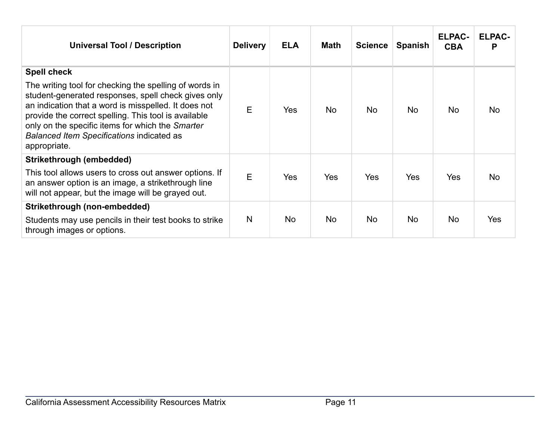| <b>Universal Tool / Description</b>                                                                                                                                                                                                                                                                                                            | <b>Delivery</b> | <b>ELA</b> | <b>Math</b> | <b>Science</b> | <b>Spanish</b> | <b>ELPAC-</b><br><b>CBA</b> | <b>ELPAC-</b><br>Р |
|------------------------------------------------------------------------------------------------------------------------------------------------------------------------------------------------------------------------------------------------------------------------------------------------------------------------------------------------|-----------------|------------|-------------|----------------|----------------|-----------------------------|--------------------|
| <b>Spell check</b>                                                                                                                                                                                                                                                                                                                             |                 |            |             |                |                |                             |                    |
| The writing tool for checking the spelling of words in<br>student-generated responses, spell check gives only<br>an indication that a word is misspelled. It does not<br>provide the correct spelling. This tool is available<br>only on the specific items for which the Smarter<br>Balanced Item Specifications indicated as<br>appropriate. | E               | Yes        | <b>No</b>   | <b>No</b>      | <b>No</b>      | No                          | <b>No</b>          |
| Strikethrough (embedded)                                                                                                                                                                                                                                                                                                                       |                 |            |             |                |                |                             |                    |
| This tool allows users to cross out answer options. If<br>an answer option is an image, a strikethrough line<br>will not appear, but the image will be grayed out.                                                                                                                                                                             | E               | Yes        | <b>Yes</b>  | <b>Yes</b>     | <b>Yes</b>     | Yes                         | No.                |
| Strikethrough (non-embedded)                                                                                                                                                                                                                                                                                                                   |                 |            |             |                |                |                             |                    |
| Students may use pencils in their test books to strike<br>through images or options.                                                                                                                                                                                                                                                           | N               | <b>No</b>  | <b>No</b>   | <b>No</b>      | <b>No</b>      | <b>No</b>                   | <b>Yes</b>         |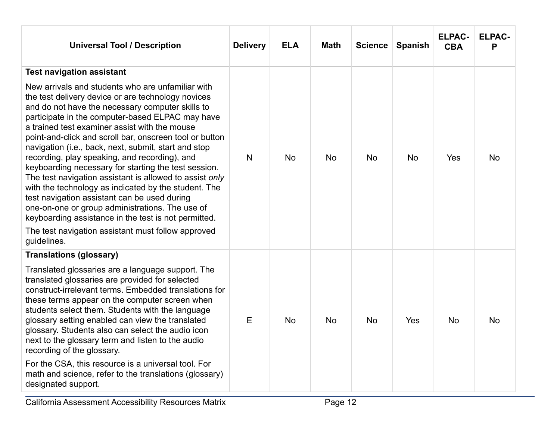| <b>Universal Tool / Description</b>                                                                                                                                                                                                                                                                                                                                                                                                                                                                                                                                                                                                                                                                                                                                                                            | <b>Delivery</b> | <b>ELA</b> | <b>Math</b> | Science   | <b>Spanish</b> | <b>ELPAC-</b><br><b>CBA</b> | <b>ELPAC-</b><br>P |
|----------------------------------------------------------------------------------------------------------------------------------------------------------------------------------------------------------------------------------------------------------------------------------------------------------------------------------------------------------------------------------------------------------------------------------------------------------------------------------------------------------------------------------------------------------------------------------------------------------------------------------------------------------------------------------------------------------------------------------------------------------------------------------------------------------------|-----------------|------------|-------------|-----------|----------------|-----------------------------|--------------------|
| <b>Test navigation assistant</b><br>New arrivals and students who are unfamiliar with<br>the test delivery device or are technology novices<br>and do not have the necessary computer skills to<br>participate in the computer-based ELPAC may have<br>a trained test examiner assist with the mouse<br>point-and-click and scroll bar, onscreen tool or button<br>navigation (i.e., back, next, submit, start and stop<br>recording, play speaking, and recording), and<br>keyboarding necessary for starting the test session.<br>The test navigation assistant is allowed to assist only<br>with the technology as indicated by the student. The<br>test navigation assistant can be used during<br>one-on-one or group administrations. The use of<br>keyboarding assistance in the test is not permitted. | N               | <b>No</b>  | <b>No</b>   | <b>No</b> | <b>No</b>      | Yes                         | <b>No</b>          |
| The test navigation assistant must follow approved<br>guidelines.                                                                                                                                                                                                                                                                                                                                                                                                                                                                                                                                                                                                                                                                                                                                              |                 |            |             |           |                |                             |                    |
| <b>Translations (glossary)</b><br>Translated glossaries are a language support. The<br>translated glossaries are provided for selected<br>construct-irrelevant terms. Embedded translations for<br>these terms appear on the computer screen when<br>students select them. Students with the language<br>glossary setting enabled can view the translated<br>glossary. Students also can select the audio icon<br>next to the glossary term and listen to the audio<br>recording of the glossary.<br>For the CSA, this resource is a universal tool. For<br>math and science, refer to the translations (glossary)<br>designated support.                                                                                                                                                                      | E               | <b>No</b>  | <b>No</b>   | <b>No</b> | Yes            | <b>No</b>                   | <b>No</b>          |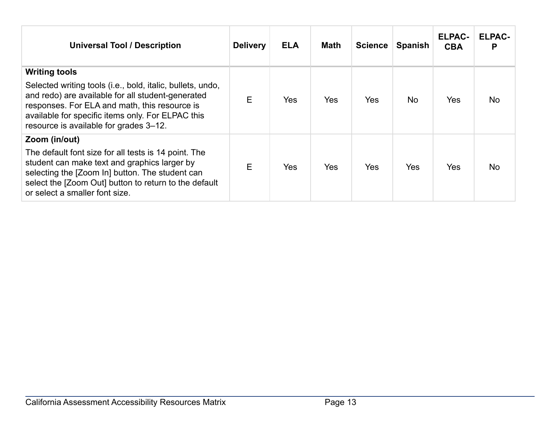| <b>Universal Tool / Description</b>                                                                                                                                                                                                                                                     | <b>Delivery</b> | <b>ELA</b> | <b>Math</b> | <b>Science</b> | <b>Spanish</b> | <b>ELPAC-</b><br><b>CBA</b> | <b>ELPAC-</b>  |
|-----------------------------------------------------------------------------------------------------------------------------------------------------------------------------------------------------------------------------------------------------------------------------------------|-----------------|------------|-------------|----------------|----------------|-----------------------------|----------------|
| <b>Writing tools</b><br>Selected writing tools (i.e., bold, italic, bullets, undo,<br>and redo) are available for all student-generated<br>responses. For ELA and math, this resource is<br>available for specific items only. For ELPAC this<br>resource is available for grades 3-12. | Е               | Yes        | Yes         | Yes            | No.            | <b>Yes</b>                  | N <sub>o</sub> |
| Zoom (in/out)<br>The default font size for all tests is 14 point. The<br>student can make text and graphics larger by<br>selecting the [Zoom In] button. The student can<br>select the [Zoom Out] button to return to the default<br>or select a smaller font size.                     | E               | Yes        | <b>Yes</b>  | Yes            | <b>Yes</b>     | <b>Yes</b>                  | <b>No</b>      |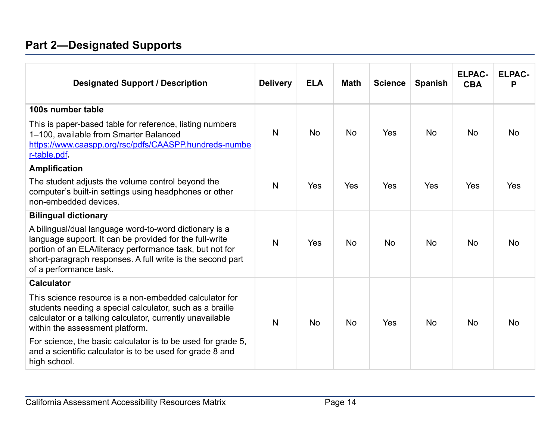# <span id="page-13-0"></span>**Part 2—Designated Supports**

| <b>Designated Support / Description</b>                                                                                                                                                                                                                               | <b>Delivery</b> | <b>ELA</b> | <b>Math</b> | <b>Science</b> | <b>Spanish</b> | <b>ELPAC-</b><br><b>CBA</b> | <b>ELPAC-</b><br>Р |
|-----------------------------------------------------------------------------------------------------------------------------------------------------------------------------------------------------------------------------------------------------------------------|-----------------|------------|-------------|----------------|----------------|-----------------------------|--------------------|
| 100s number table                                                                                                                                                                                                                                                     |                 |            |             |                |                |                             |                    |
| This is paper-based table for reference, listing numbers<br>1-100, available from Smarter Balanced<br>https://www.caaspp.org/rsc/pdfs/CAASPP.hundreds-numbe                                                                                                           | N               | <b>No</b>  | <b>No</b>   | Yes            | <b>No</b>      | <b>No</b>                   | <b>No</b>          |
| r-table.pdf.                                                                                                                                                                                                                                                          |                 |            |             |                |                |                             |                    |
| <b>Amplification</b>                                                                                                                                                                                                                                                  |                 |            |             |                |                |                             |                    |
| The student adjusts the volume control beyond the<br>computer's built-in settings using headphones or other<br>non-embedded devices.                                                                                                                                  | N               | Yes        | Yes         | Yes            | Yes            | Yes                         | Yes                |
| <b>Bilingual dictionary</b>                                                                                                                                                                                                                                           |                 |            |             |                |                |                             |                    |
| A bilingual/dual language word-to-word dictionary is a<br>language support. It can be provided for the full-write<br>portion of an ELA/literacy performance task, but not for<br>short-paragraph responses. A full write is the second part<br>of a performance task. | N               | Yes        | <b>No</b>   | <b>No</b>      | <b>No</b>      | <b>No</b>                   | <b>No</b>          |
| <b>Calculator</b>                                                                                                                                                                                                                                                     |                 |            |             |                |                |                             |                    |
| This science resource is a non-embedded calculator for<br>students needing a special calculator, such as a braille<br>calculator or a talking calculator, currently unavailable<br>within the assessment platform.                                                    | N               | <b>No</b>  | <b>No</b>   | Yes            | <b>No</b>      | <b>No</b>                   | <b>No</b>          |
| For science, the basic calculator is to be used for grade 5,<br>and a scientific calculator is to be used for grade 8 and<br>high school.                                                                                                                             |                 |            |             |                |                |                             |                    |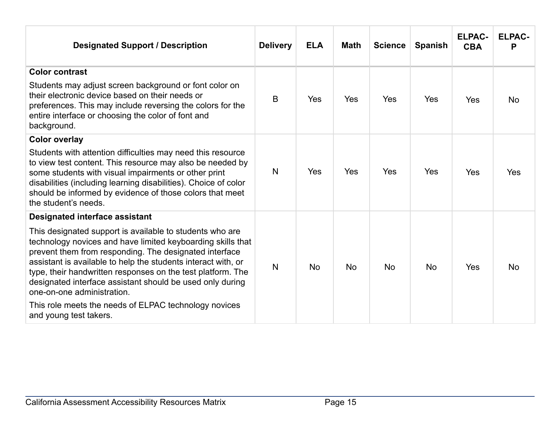| <b>Designated Support / Description</b>                                                                                                                                                                                                                                                                                                                                                                                                                                                                                                  | <b>Delivery</b> | <b>ELA</b> | <b>Math</b> | <b>Science</b> | <b>Spanish</b> | <b>ELPAC-</b><br><b>CBA</b> | <b>ELPAC-</b><br>Р |
|------------------------------------------------------------------------------------------------------------------------------------------------------------------------------------------------------------------------------------------------------------------------------------------------------------------------------------------------------------------------------------------------------------------------------------------------------------------------------------------------------------------------------------------|-----------------|------------|-------------|----------------|----------------|-----------------------------|--------------------|
| <b>Color contrast</b><br>Students may adjust screen background or font color on<br>their electronic device based on their needs or<br>preferences. This may include reversing the colors for the<br>entire interface or choosing the color of font and<br>background.                                                                                                                                                                                                                                                                    | B               | Yes        | Yes         | Yes            | Yes            | Yes                         | <b>No</b>          |
| <b>Color overlay</b><br>Students with attention difficulties may need this resource<br>to view test content. This resource may also be needed by<br>some students with visual impairments or other print<br>disabilities (including learning disabilities). Choice of color<br>should be informed by evidence of those colors that meet<br>the student's needs.                                                                                                                                                                          | N               | Yes        | Yes         | Yes            | Yes            | Yes                         | Yes                |
| <b>Designated interface assistant</b><br>This designated support is available to students who are<br>technology novices and have limited keyboarding skills that<br>prevent them from responding. The designated interface<br>assistant is available to help the students interact with, or<br>type, their handwritten responses on the test platform. The<br>designated interface assistant should be used only during<br>one-on-one administration.<br>This role meets the needs of ELPAC technology novices<br>and young test takers. | N               | <b>No</b>  | <b>No</b>   | <b>No</b>      | <b>No</b>      | Yes                         | <b>No</b>          |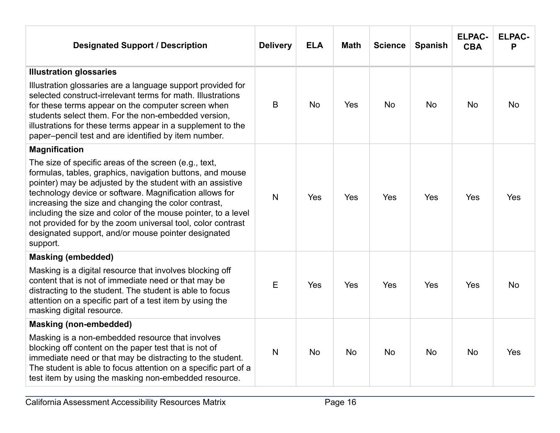| <b>Designated Support / Description</b>                                                                                                                                                                                                                                                                                                                                                                                                                                                               | <b>Delivery</b> | <b>ELA</b>     | <b>Math</b> | <b>Science</b> | <b>Spanish</b> | <b>ELPAC-</b><br><b>CBA</b> | <b>ELPAC-</b><br>P |
|-------------------------------------------------------------------------------------------------------------------------------------------------------------------------------------------------------------------------------------------------------------------------------------------------------------------------------------------------------------------------------------------------------------------------------------------------------------------------------------------------------|-----------------|----------------|-------------|----------------|----------------|-----------------------------|--------------------|
| <b>Illustration glossaries</b>                                                                                                                                                                                                                                                                                                                                                                                                                                                                        |                 |                |             |                |                |                             |                    |
| Illustration glossaries are a language support provided for<br>selected construct-irrelevant terms for math. Illustrations<br>for these terms appear on the computer screen when<br>students select them. For the non-embedded version,<br>illustrations for these terms appear in a supplement to the<br>paper-pencil test and are identified by item number.                                                                                                                                        | B               | N <sub>o</sub> | Yes         | <b>No</b>      | <b>No</b>      | <b>No</b>                   | <b>No</b>          |
| <b>Magnification</b>                                                                                                                                                                                                                                                                                                                                                                                                                                                                                  |                 |                |             |                |                |                             |                    |
| The size of specific areas of the screen (e.g., text,<br>formulas, tables, graphics, navigation buttons, and mouse<br>pointer) may be adjusted by the student with an assistive<br>technology device or software. Magnification allows for<br>increasing the size and changing the color contrast,<br>including the size and color of the mouse pointer, to a level<br>not provided for by the zoom universal tool, color contrast<br>designated support, and/or mouse pointer designated<br>support. | $\mathsf{N}$    | Yes            | <b>Yes</b>  | Yes            | Yes            | Yes                         | Yes                |
| <b>Masking (embedded)</b>                                                                                                                                                                                                                                                                                                                                                                                                                                                                             |                 |                |             |                |                |                             |                    |
| Masking is a digital resource that involves blocking off<br>content that is not of immediate need or that may be<br>distracting to the student. The student is able to focus<br>attention on a specific part of a test item by using the<br>masking digital resource.                                                                                                                                                                                                                                 | E               | Yes            | Yes         | Yes            | <b>Yes</b>     | Yes                         | <b>No</b>          |
| <b>Masking (non-embedded)</b>                                                                                                                                                                                                                                                                                                                                                                                                                                                                         |                 |                |             |                |                |                             |                    |
| Masking is a non-embedded resource that involves<br>blocking off content on the paper test that is not of<br>immediate need or that may be distracting to the student.<br>The student is able to focus attention on a specific part of a<br>test item by using the masking non-embedded resource.                                                                                                                                                                                                     | $\mathsf{N}$    | <b>No</b>      | <b>No</b>   | <b>No</b>      | <b>No</b>      | <b>No</b>                   | Yes                |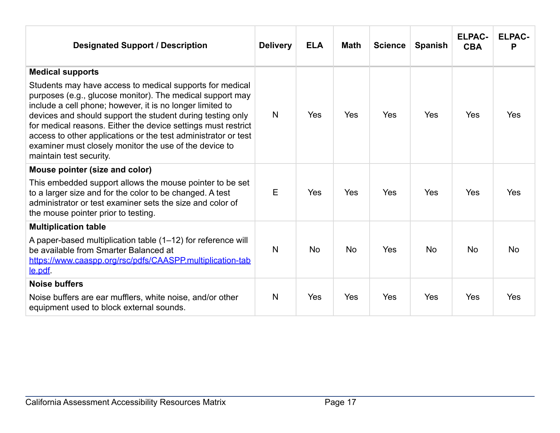| <b>Designated Support / Description</b>                                                                                                                                                                                                                                                                                                                                                                                                                                  | <b>Delivery</b> | <b>ELA</b> | <b>Math</b> | <b>Science</b> | <b>Spanish</b> | <b>ELPAC-</b><br><b>CBA</b> | <b>ELPAC-</b><br>P |
|--------------------------------------------------------------------------------------------------------------------------------------------------------------------------------------------------------------------------------------------------------------------------------------------------------------------------------------------------------------------------------------------------------------------------------------------------------------------------|-----------------|------------|-------------|----------------|----------------|-----------------------------|--------------------|
| <b>Medical supports</b>                                                                                                                                                                                                                                                                                                                                                                                                                                                  |                 |            |             |                |                |                             |                    |
| Students may have access to medical supports for medical<br>purposes (e.g., glucose monitor). The medical support may<br>include a cell phone; however, it is no longer limited to<br>devices and should support the student during testing only<br>for medical reasons. Either the device settings must restrict<br>access to other applications or the test administrator or test<br>examiner must closely monitor the use of the device to<br>maintain test security. | N               | <b>Yes</b> | Yes         | Yes            | <b>Yes</b>     | Yes                         | Yes                |
| Mouse pointer (size and color)                                                                                                                                                                                                                                                                                                                                                                                                                                           |                 |            |             |                |                |                             |                    |
| This embedded support allows the mouse pointer to be set<br>to a larger size and for the color to be changed. A test<br>administrator or test examiner sets the size and color of<br>the mouse pointer prior to testing.                                                                                                                                                                                                                                                 | E               | Yes        | Yes         | Yes            | <b>Yes</b>     | Yes                         | Yes                |
| <b>Multiplication table</b>                                                                                                                                                                                                                                                                                                                                                                                                                                              |                 |            |             |                |                |                             |                    |
| A paper-based multiplication table (1-12) for reference will<br>be available from Smarter Balanced at<br>https://www.caaspp.org/rsc/pdfs/CAASPP.multiplication-tab<br><u>le.pdf</u>                                                                                                                                                                                                                                                                                      | N               | <b>No</b>  | <b>No</b>   | Yes            | <b>No</b>      | <b>No</b>                   | <b>No</b>          |
| <b>Noise buffers</b>                                                                                                                                                                                                                                                                                                                                                                                                                                                     |                 |            |             |                |                |                             |                    |
| Noise buffers are ear mufflers, white noise, and/or other<br>equipment used to block external sounds.                                                                                                                                                                                                                                                                                                                                                                    | N               | Yes        | Yes         | Yes            | Yes            | Yes                         | <b>Yes</b>         |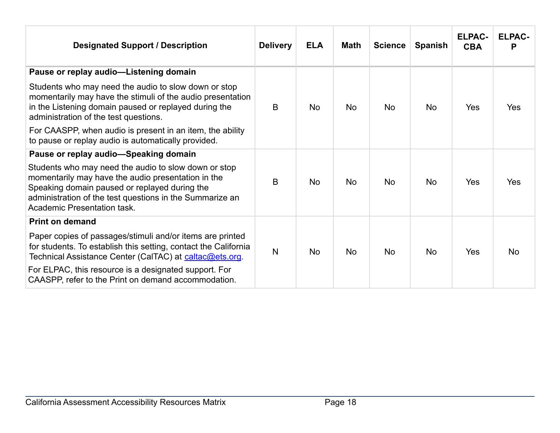| <b>Designated Support / Description</b>                                                                                                                                                                                                                | <b>Delivery</b> | <b>ELA</b> | <b>Math</b> | <b>Science</b> | <b>Spanish</b> | <b>ELPAC-</b><br><b>CBA</b> | <b>ELPAC-</b><br>P |
|--------------------------------------------------------------------------------------------------------------------------------------------------------------------------------------------------------------------------------------------------------|-----------------|------------|-------------|----------------|----------------|-----------------------------|--------------------|
| Pause or replay audio-Listening domain                                                                                                                                                                                                                 |                 |            |             |                |                |                             |                    |
| Students who may need the audio to slow down or stop<br>momentarily may have the stimuli of the audio presentation<br>in the Listening domain paused or replayed during the<br>administration of the test questions.                                   | B               | <b>No</b>  | <b>No</b>   | <b>No</b>      | <b>No</b>      | Yes                         | Yes                |
| For CAASPP, when audio is present in an item, the ability<br>to pause or replay audio is automatically provided.                                                                                                                                       |                 |            |             |                |                |                             |                    |
| Pause or replay audio-Speaking domain                                                                                                                                                                                                                  |                 |            |             |                |                |                             |                    |
| Students who may need the audio to slow down or stop<br>momentarily may have the audio presentation in the<br>Speaking domain paused or replayed during the<br>administration of the test questions in the Summarize an<br>Academic Presentation task. | B               | <b>No</b>  | <b>No</b>   | <b>No</b>      | <b>No</b>      | Yes                         | Yes                |
| <b>Print on demand</b>                                                                                                                                                                                                                                 |                 |            |             |                |                |                             |                    |
| Paper copies of passages/stimuli and/or items are printed<br>for students. To establish this setting, contact the California<br>Technical Assistance Center (CalTAC) at caltac@ets.org.                                                                | $\mathsf{N}$    | <b>No</b>  | <b>No</b>   | <b>No</b>      | <b>No</b>      | Yes                         | <b>No</b>          |
| For ELPAC, this resource is a designated support. For<br>CAASPP, refer to the Print on demand accommodation.                                                                                                                                           |                 |            |             |                |                |                             |                    |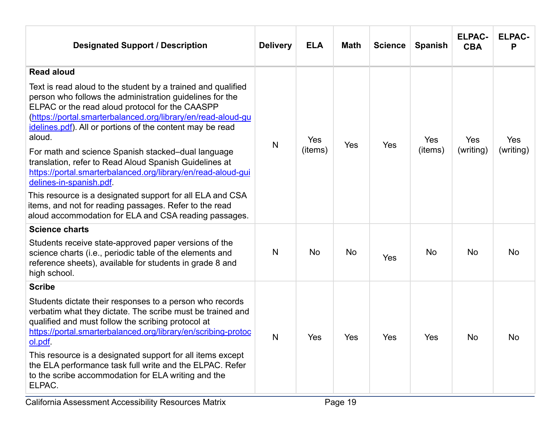| <b>Designated Support / Description</b>                                                                                                                                                                                                                                                                                                                                                                                                                                                                                                                                                                                                                                                                      | <b>Delivery</b> | <b>ELA</b>     | <b>Math</b> | <b>Science</b> | <b>Spanish</b> | <b>ELPAC-</b><br><b>CBA</b> | <b>ELPAC-</b><br>P      |
|--------------------------------------------------------------------------------------------------------------------------------------------------------------------------------------------------------------------------------------------------------------------------------------------------------------------------------------------------------------------------------------------------------------------------------------------------------------------------------------------------------------------------------------------------------------------------------------------------------------------------------------------------------------------------------------------------------------|-----------------|----------------|-------------|----------------|----------------|-----------------------------|-------------------------|
| <b>Read aloud</b>                                                                                                                                                                                                                                                                                                                                                                                                                                                                                                                                                                                                                                                                                            |                 |                |             |                |                |                             |                         |
| Text is read aloud to the student by a trained and qualified<br>person who follows the administration guidelines for the<br>ELPAC or the read aloud protocol for the CAASPP<br>(https://portal.smarterbalanced.org/library/en/read-aloud-gu<br>idelines.pdf). All or portions of the content may be read<br>aloud.<br>For math and science Spanish stacked-dual language<br>translation, refer to Read Aloud Spanish Guidelines at<br>https://portal.smarterbalanced.org/library/en/read-aloud-gui<br>delines-in-spanish.pdf<br>This resource is a designated support for all ELA and CSA<br>items, and not for reading passages. Refer to the read<br>aloud accommodation for ELA and CSA reading passages. | N               | Yes<br>(items) | Yes         | Yes            | Yes<br>(items) | Yes<br>(writing)            | <b>Yes</b><br>(writing) |
| <b>Science charts</b>                                                                                                                                                                                                                                                                                                                                                                                                                                                                                                                                                                                                                                                                                        |                 |                |             |                |                |                             |                         |
| Students receive state-approved paper versions of the<br>science charts (i.e., periodic table of the elements and<br>reference sheets), available for students in grade 8 and<br>high school.                                                                                                                                                                                                                                                                                                                                                                                                                                                                                                                | N               | <b>No</b>      | <b>No</b>   | Yes            | <b>No</b>      | <b>No</b>                   | <b>No</b>               |
| <b>Scribe</b>                                                                                                                                                                                                                                                                                                                                                                                                                                                                                                                                                                                                                                                                                                |                 |                |             |                |                |                             |                         |
| Students dictate their responses to a person who records<br>verbatim what they dictate. The scribe must be trained and<br>qualified and must follow the scribing protocol at<br>https://portal.smarterbalanced.org/library/en/scribing-protoc<br>ol.pdf<br>This resource is a designated support for all items except<br>the ELA performance task full write and the ELPAC. Refer<br>to the scribe accommodation for ELA writing and the<br>ELPAC.                                                                                                                                                                                                                                                           | $\mathsf{N}$    | Yes            | Yes         | <b>Yes</b>     | Yes            | <b>No</b>                   | <b>No</b>               |
|                                                                                                                                                                                                                                                                                                                                                                                                                                                                                                                                                                                                                                                                                                              |                 |                |             |                |                |                             |                         |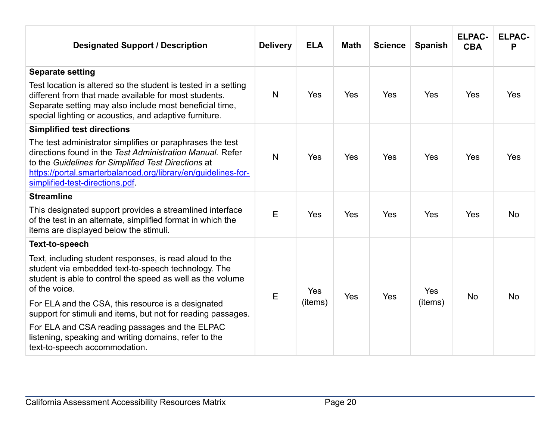| <b>Designated Support / Description</b>                                                                                                                                                                                                                                           | <b>Delivery</b> | <b>ELA</b> | <b>Math</b> | <b>Science</b> | <b>Spanish</b> | <b>ELPAC-</b><br><b>CBA</b> | <b>ELPAC-</b><br>P |
|-----------------------------------------------------------------------------------------------------------------------------------------------------------------------------------------------------------------------------------------------------------------------------------|-----------------|------------|-------------|----------------|----------------|-----------------------------|--------------------|
| <b>Separate setting</b>                                                                                                                                                                                                                                                           |                 |            |             |                |                |                             |                    |
| Test location is altered so the student is tested in a setting<br>different from that made available for most students.<br>Separate setting may also include most beneficial time,<br>special lighting or acoustics, and adaptive furniture.                                      | N               | Yes        | <b>Yes</b>  | Yes            | Yes            | Yes                         | Yes                |
| <b>Simplified test directions</b>                                                                                                                                                                                                                                                 |                 |            |             |                |                |                             |                    |
| The test administrator simplifies or paraphrases the test<br>directions found in the Test Administration Manual, Refer<br>to the Guidelines for Simplified Test Directions at<br>https://portal.smarterbalanced.org/library/en/quidelines-for-<br>simplified-test-directions.pdf. | N               | Yes        | <b>Yes</b>  | Yes            | <b>Yes</b>     | Yes                         | Yes                |
| <b>Streamline</b>                                                                                                                                                                                                                                                                 |                 |            |             |                |                |                             |                    |
| This designated support provides a streamlined interface<br>of the test in an alternate, simplified format in which the<br>items are displayed below the stimuli.                                                                                                                 | E               | Yes        | Yes         | Yes            | Yes            | Yes                         | <b>No</b>          |
| <b>Text-to-speech</b>                                                                                                                                                                                                                                                             |                 |            |             |                |                |                             |                    |
| Text, including student responses, is read aloud to the<br>student via embedded text-to-speech technology. The<br>student is able to control the speed as well as the volume<br>of the voice.                                                                                     | E               | Yes        | Yes         | Yes            | <b>Yes</b>     | <b>No</b>                   | <b>No</b>          |
| For ELA and the CSA, this resource is a designated<br>support for stimuli and items, but not for reading passages.                                                                                                                                                                |                 | (items)    |             |                | (items)        |                             |                    |
| For ELA and CSA reading passages and the ELPAC<br>listening, speaking and writing domains, refer to the<br>text-to-speech accommodation.                                                                                                                                          |                 |            |             |                |                |                             |                    |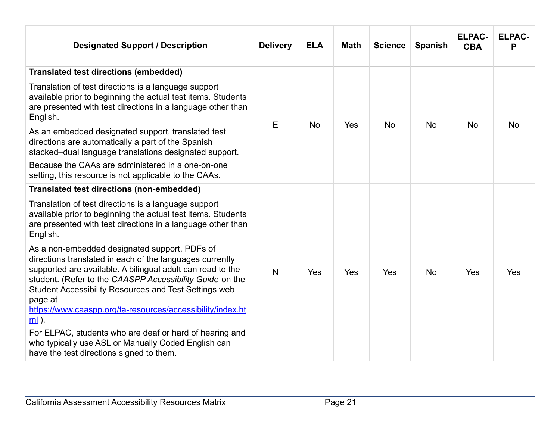| <b>Designated Support / Description</b>                                                                                                                                                                                                                                                                                                                                          | <b>Delivery</b> | <b>ELA</b> | <b>Math</b> | <b>Science</b> | <b>Spanish</b> | <b>ELPAC-</b><br><b>CBA</b> | <b>ELPAC-</b><br>Р |
|----------------------------------------------------------------------------------------------------------------------------------------------------------------------------------------------------------------------------------------------------------------------------------------------------------------------------------------------------------------------------------|-----------------|------------|-------------|----------------|----------------|-----------------------------|--------------------|
| <b>Translated test directions (embedded)</b>                                                                                                                                                                                                                                                                                                                                     |                 |            |             |                |                |                             |                    |
| Translation of test directions is a language support<br>available prior to beginning the actual test items. Students<br>are presented with test directions in a language other than<br>English.                                                                                                                                                                                  | E               | <b>No</b>  | Yes         | <b>No</b>      | <b>No</b>      | <b>No</b>                   | <b>No</b>          |
| As an embedded designated support, translated test<br>directions are automatically a part of the Spanish<br>stacked-dual language translations designated support.                                                                                                                                                                                                               |                 |            |             |                |                |                             |                    |
| Because the CAAs are administered in a one-on-one<br>setting, this resource is not applicable to the CAAs.                                                                                                                                                                                                                                                                       |                 |            |             |                |                |                             |                    |
| <b>Translated test directions (non-embedded)</b>                                                                                                                                                                                                                                                                                                                                 |                 |            |             |                |                |                             |                    |
| Translation of test directions is a language support<br>available prior to beginning the actual test items. Students<br>are presented with test directions in a language other than<br>English.                                                                                                                                                                                  |                 |            |             |                |                |                             |                    |
| As a non-embedded designated support, PDFs of<br>directions translated in each of the languages currently<br>supported are available. A bilingual adult can read to the<br>student. (Refer to the CAASPP Accessibility Guide on the<br>Student Accessibility Resources and Test Settings web<br>page at<br>https://www.caaspp.org/ta-resources/accessibility/index.ht<br>$ml$ ). | N               | Yes        | Yes         | Yes            | <b>No</b>      | Yes                         | Yes                |
| For ELPAC, students who are deaf or hard of hearing and<br>who typically use ASL or Manually Coded English can<br>have the test directions signed to them.                                                                                                                                                                                                                       |                 |            |             |                |                |                             |                    |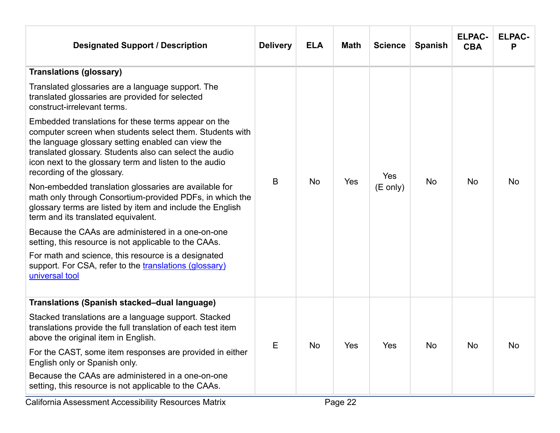| <b>Designated Support / Description</b>                                                                                                                                                                                                                                                                                  | <b>Delivery</b> | <b>ELA</b> | <b>Math</b> | <b>Science</b>     | <b>Spanish</b> | <b>ELPAC-</b><br><b>CBA</b> | <b>ELPAC-</b><br>P |  |
|--------------------------------------------------------------------------------------------------------------------------------------------------------------------------------------------------------------------------------------------------------------------------------------------------------------------------|-----------------|------------|-------------|--------------------|----------------|-----------------------------|--------------------|--|
| <b>Translations (glossary)</b>                                                                                                                                                                                                                                                                                           |                 |            |             |                    |                |                             |                    |  |
| Translated glossaries are a language support. The<br>translated glossaries are provided for selected<br>construct-irrelevant terms.                                                                                                                                                                                      |                 |            |             |                    |                |                             |                    |  |
| Embedded translations for these terms appear on the<br>computer screen when students select them. Students with<br>the language glossary setting enabled can view the<br>translated glossary. Students also can select the audio<br>icon next to the glossary term and listen to the audio<br>recording of the glossary. | B               |            |             |                    | Yes            | <b>No</b>                   |                    |  |
| Non-embedded translation glossaries are available for<br>math only through Consortium-provided PDFs, in which the<br>glossary terms are listed by item and include the English<br>term and its translated equivalent.                                                                                                    |                 | <b>No</b>  | Yes         | $(E \text{ only})$ |                | <b>No</b>                   | <b>No</b>          |  |
| Because the CAAs are administered in a one-on-one<br>setting, this resource is not applicable to the CAAs.                                                                                                                                                                                                               |                 |            |             |                    |                |                             |                    |  |
| For math and science, this resource is a designated<br>support. For CSA, refer to the translations (glossary)<br>universal tool                                                                                                                                                                                          |                 |            |             |                    |                |                             |                    |  |
| <b>Translations (Spanish stacked–dual language)</b>                                                                                                                                                                                                                                                                      |                 |            |             |                    |                |                             |                    |  |
| Stacked translations are a language support. Stacked<br>translations provide the full translation of each test item<br>above the original item in English.                                                                                                                                                               |                 |            |             |                    |                |                             |                    |  |
| For the CAST, some item responses are provided in either<br>English only or Spanish only.                                                                                                                                                                                                                                | Е               | No         | Yes         | Yes                | No             | No                          | No                 |  |
| Because the CAAs are administered in a one-on-one<br>setting, this resource is not applicable to the CAAs.                                                                                                                                                                                                               |                 |            |             |                    |                |                             |                    |  |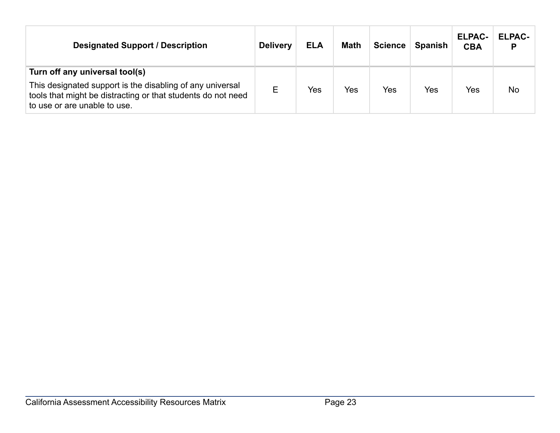| <b>Designated Support / Description</b>                                                                                                                                                     | <b>Delivery</b> | <b>ELA</b> | <b>Math</b> | <b>Science</b> | <b>Spanish</b> | <b>ELPAC-</b><br><b>CBA</b> | <b>ELPAC-</b><br>P |
|---------------------------------------------------------------------------------------------------------------------------------------------------------------------------------------------|-----------------|------------|-------------|----------------|----------------|-----------------------------|--------------------|
| Turn off any universal tool(s)<br>This designated support is the disabling of any universal<br>tools that might be distracting or that students do not need<br>to use or are unable to use. | Е               | Yes        | Yes         | Yes            | Yes            | Yes                         | <b>No</b>          |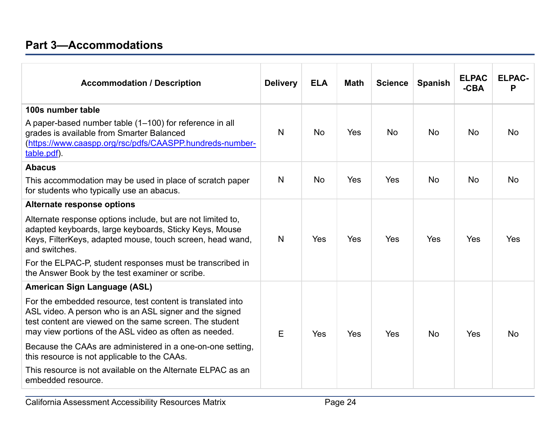<span id="page-23-0"></span>

|                                                                                                                                                                                                                                            |                 |            |             |                |                | <b>ELPAC</b> | <b>ELPAC-</b> |
|--------------------------------------------------------------------------------------------------------------------------------------------------------------------------------------------------------------------------------------------|-----------------|------------|-------------|----------------|----------------|--------------|---------------|
| <b>Accommodation / Description</b>                                                                                                                                                                                                         | <b>Delivery</b> | <b>ELA</b> | <b>Math</b> | <b>Science</b> | <b>Spanish</b> | $-CBA$       | P             |
| 100s number table                                                                                                                                                                                                                          |                 |            |             |                |                |              |               |
| A paper-based number table (1-100) for reference in all<br>grades is available from Smarter Balanced<br>(https://www.caaspp.org/rsc/pdfs/CAASPP.hundreds-number-<br>table.pdf).                                                            | N               | <b>No</b>  | Yes         | <b>No</b>      | <b>No</b>      | <b>No</b>    | <b>No</b>     |
| <b>Abacus</b>                                                                                                                                                                                                                              |                 |            |             |                |                |              |               |
| This accommodation may be used in place of scratch paper<br>for students who typically use an abacus.                                                                                                                                      | N               | <b>No</b>  | Yes         | Yes            | <b>No</b>      | <b>No</b>    | <b>No</b>     |
| Alternate response options                                                                                                                                                                                                                 |                 |            |             |                |                |              |               |
| Alternate response options include, but are not limited to,<br>adapted keyboards, large keyboards, Sticky Keys, Mouse<br>Keys, FilterKeys, adapted mouse, touch screen, head wand,<br>and switches.                                        | N               | Yes        | Yes         | Yes            | Yes            | Yes          | Yes           |
| For the ELPAC-P, student responses must be transcribed in<br>the Answer Book by the test examiner or scribe.                                                                                                                               |                 |            |             |                |                |              |               |
| <b>American Sign Language (ASL)</b>                                                                                                                                                                                                        |                 |            |             |                |                |              |               |
| For the embedded resource, test content is translated into<br>ASL video. A person who is an ASL signer and the signed<br>test content are viewed on the same screen. The student<br>may view portions of the ASL video as often as needed. | E               | Yes        | Yes         | Yes            | <b>No</b>      | Yes          | <b>No</b>     |
| Because the CAAs are administered in a one-on-one setting,<br>this resource is not applicable to the CAAs.                                                                                                                                 |                 |            |             |                |                |              |               |
| This resource is not available on the Alternate ELPAC as an<br>embedded resource.                                                                                                                                                          |                 |            |             |                |                |              |               |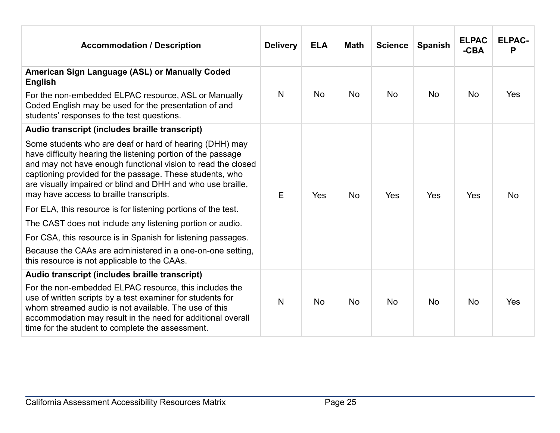| <b>Accommodation / Description</b>                                                                                                                                                                                                                                                                                                                            | <b>Delivery</b> | <b>ELA</b> | <b>Math</b> | <b>Science</b> | <b>Spanish</b> | <b>ELPAC</b><br>$-CBA$ | <b>ELPAC-</b><br>P |
|---------------------------------------------------------------------------------------------------------------------------------------------------------------------------------------------------------------------------------------------------------------------------------------------------------------------------------------------------------------|-----------------|------------|-------------|----------------|----------------|------------------------|--------------------|
| American Sign Language (ASL) or Manually Coded<br><b>English</b>                                                                                                                                                                                                                                                                                              |                 |            |             |                |                |                        |                    |
| For the non-embedded ELPAC resource, ASL or Manually<br>Coded English may be used for the presentation of and<br>students' responses to the test questions.                                                                                                                                                                                                   | N               | <b>No</b>  | <b>No</b>   | <b>No</b>      | <b>No</b>      | <b>No</b>              | Yes                |
| Audio transcript (includes braille transcript)                                                                                                                                                                                                                                                                                                                |                 |            |             |                |                |                        |                    |
| Some students who are deaf or hard of hearing (DHH) may<br>have difficulty hearing the listening portion of the passage<br>and may not have enough functional vision to read the closed<br>captioning provided for the passage. These students, who<br>are visually impaired or blind and DHH and who use braille,<br>may have access to braille transcripts. | Е               | Yes        | <b>No</b>   | Yes            | Yes            | Yes                    | <b>No</b>          |
| For ELA, this resource is for listening portions of the test.                                                                                                                                                                                                                                                                                                 |                 |            |             |                |                |                        |                    |
| The CAST does not include any listening portion or audio.                                                                                                                                                                                                                                                                                                     |                 |            |             |                |                |                        |                    |
| For CSA, this resource is in Spanish for listening passages.                                                                                                                                                                                                                                                                                                  |                 |            |             |                |                |                        |                    |
| Because the CAAs are administered in a one-on-one setting,<br>this resource is not applicable to the CAAs.                                                                                                                                                                                                                                                    |                 |            |             |                |                |                        |                    |
| Audio transcript (includes braille transcript)                                                                                                                                                                                                                                                                                                                |                 |            |             |                |                |                        |                    |
| For the non-embedded ELPAC resource, this includes the<br>use of written scripts by a test examiner for students for<br>whom streamed audio is not available. The use of this<br>accommodation may result in the need for additional overall<br>time for the student to complete the assessment.                                                              | $\mathsf{N}$    | <b>No</b>  | <b>No</b>   | <b>No</b>      | <b>No</b>      | <b>No</b>              | Yes                |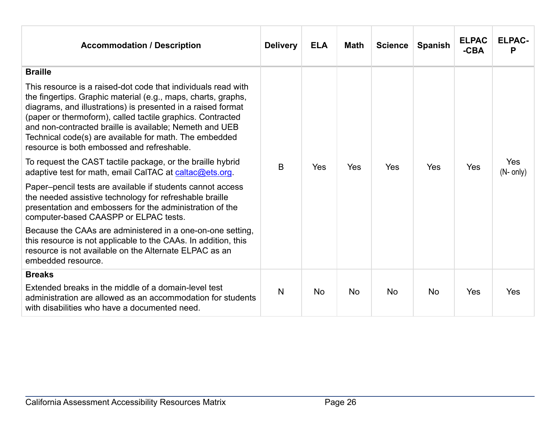| <b>Accommodation / Description</b>                                                                                                                                                                                                                                                                                                                                                                                              | <b>Delivery</b> | <b>ELA</b> | <b>Math</b> | <b>Science</b> | <b>Spanish</b> | <b>ELPAC</b><br>$-CBA$ | <b>ELPAC-</b><br>P |
|---------------------------------------------------------------------------------------------------------------------------------------------------------------------------------------------------------------------------------------------------------------------------------------------------------------------------------------------------------------------------------------------------------------------------------|-----------------|------------|-------------|----------------|----------------|------------------------|--------------------|
| <b>Braille</b>                                                                                                                                                                                                                                                                                                                                                                                                                  |                 |            |             |                |                |                        |                    |
| This resource is a raised-dot code that individuals read with<br>the fingertips. Graphic material (e.g., maps, charts, graphs,<br>diagrams, and illustrations) is presented in a raised format<br>(paper or thermoform), called tactile graphics. Contracted<br>and non-contracted braille is available; Nemeth and UEB<br>Technical code(s) are available for math. The embedded<br>resource is both embossed and refreshable. |                 |            |             |                |                |                        |                    |
| To request the CAST tactile package, or the braille hybrid<br>adaptive test for math, email CalTAC at caltac@ets.org.                                                                                                                                                                                                                                                                                                           | B               | Yes        | Yes         | Yes            | Yes            | Yes                    | Yes<br>$(N-$ only) |
| Paper-pencil tests are available if students cannot access<br>the needed assistive technology for refreshable braille<br>presentation and embossers for the administration of the<br>computer-based CAASPP or ELPAC tests.                                                                                                                                                                                                      |                 |            |             |                |                |                        |                    |
| Because the CAAs are administered in a one-on-one setting,<br>this resource is not applicable to the CAAs. In addition, this<br>resource is not available on the Alternate ELPAC as an<br>embedded resource.                                                                                                                                                                                                                    |                 |            |             |                |                |                        |                    |
| <b>Breaks</b>                                                                                                                                                                                                                                                                                                                                                                                                                   |                 |            |             |                |                |                        |                    |
| Extended breaks in the middle of a domain-level test<br>administration are allowed as an accommodation for students<br>with disabilities who have a documented need.                                                                                                                                                                                                                                                            | N               | <b>No</b>  | <b>No</b>   | <b>No</b>      | <b>No</b>      | Yes                    | Yes                |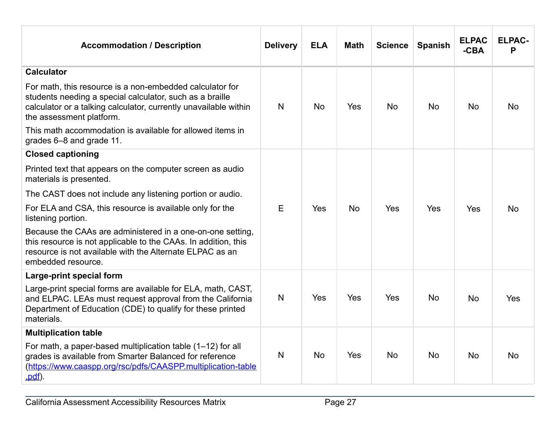| <b>Accommodation / Description</b>                                                                                                                                                                                   | <b>Delivery</b> | <b>ELA</b> | <b>Math</b> | <b>Science</b> | <b>Spanish</b> | <b>ELPAC</b><br>$-CBA$ | <b>ELPAC-</b><br>P |
|----------------------------------------------------------------------------------------------------------------------------------------------------------------------------------------------------------------------|-----------------|------------|-------------|----------------|----------------|------------------------|--------------------|
| <b>Calculator</b>                                                                                                                                                                                                    |                 |            |             |                |                |                        |                    |
| For math, this resource is a non-embedded calculator for<br>students needing a special calculator, such as a braille<br>calculator or a talking calculator, currently unavailable within<br>the assessment platform. | N               | <b>No</b>  | Yes         | <b>No</b>      | <b>No</b>      | <b>No</b>              | <b>No</b>          |
| This math accommodation is available for allowed items in<br>grades 6-8 and grade 11.                                                                                                                                |                 |            |             |                |                |                        |                    |
| <b>Closed captioning</b>                                                                                                                                                                                             |                 |            |             |                |                |                        |                    |
| Printed text that appears on the computer screen as audio<br>materials is presented.                                                                                                                                 |                 |            |             |                |                |                        |                    |
| The CAST does not include any listening portion or audio.                                                                                                                                                            |                 |            |             |                |                |                        |                    |
| For ELA and CSA, this resource is available only for the<br>listening portion.                                                                                                                                       | E               | Yes        | <b>No</b>   | Yes            | <b>Yes</b>     | Yes                    | <b>No</b>          |
| Because the CAAs are administered in a one-on-one setting,<br>this resource is not applicable to the CAAs. In addition, this<br>resource is not available with the Alternate ELPAC as an<br>embedded resource.       |                 |            |             |                |                |                        |                    |
| Large-print special form                                                                                                                                                                                             |                 |            |             |                |                |                        |                    |
| Large-print special forms are available for ELA, math, CAST,<br>and ELPAC. LEAs must request approval from the California<br>Department of Education (CDE) to qualify for these printed<br>materials.                | N               | Yes        | Yes         | Yes            | <b>No</b>      | <b>No</b>              | Yes                |
| <b>Multiplication table</b>                                                                                                                                                                                          |                 |            |             |                |                |                        |                    |
| For math, a paper-based multiplication table (1-12) for all<br>grades is available from Smarter Balanced for reference<br>(https://www.caaspp.org/rsc/pdfs/CAASPP.multiplication-table<br>.pdf).                     | N               | <b>No</b>  | Yes         | <b>No</b>      | <b>No</b>      | <b>No</b>              | <b>No</b>          |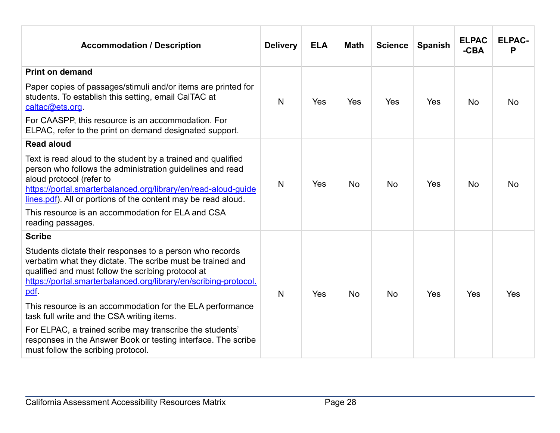| <b>Accommodation / Description</b>                                                                                                                                                                                                                                                       | <b>Delivery</b> | <b>ELA</b> | <b>Math</b> | <b>Science</b> | <b>Spanish</b> | <b>ELPAC</b><br>$-CBA$ | <b>ELPAC-</b><br>P |
|------------------------------------------------------------------------------------------------------------------------------------------------------------------------------------------------------------------------------------------------------------------------------------------|-----------------|------------|-------------|----------------|----------------|------------------------|--------------------|
| <b>Print on demand</b>                                                                                                                                                                                                                                                                   |                 |            |             |                |                |                        |                    |
| Paper copies of passages/stimuli and/or items are printed for<br>students. To establish this setting, email CalTAC at<br>caltac@ets.org.                                                                                                                                                 | N               | Yes        | Yes         | Yes            | Yes            | <b>No</b>              | <b>No</b>          |
| For CAASPP, this resource is an accommodation. For<br>ELPAC, refer to the print on demand designated support.                                                                                                                                                                            |                 |            |             |                |                |                        |                    |
| <b>Read aloud</b>                                                                                                                                                                                                                                                                        |                 |            |             |                |                |                        |                    |
| Text is read aloud to the student by a trained and qualified<br>person who follows the administration guidelines and read<br>aloud protocol (refer to<br>https://portal.smarterbalanced.org/library/en/read-aloud-guide<br>lines.pdf). All or portions of the content may be read aloud. | $\mathsf{N}$    | Yes        | <b>No</b>   | <b>No</b>      | Yes            | <b>No</b>              | <b>No</b>          |
| This resource is an accommodation for ELA and CSA<br>reading passages.                                                                                                                                                                                                                   |                 |            |             |                |                |                        |                    |
| <b>Scribe</b>                                                                                                                                                                                                                                                                            |                 |            |             |                |                |                        |                    |
| Students dictate their responses to a person who records<br>verbatim what they dictate. The scribe must be trained and<br>qualified and must follow the scribing protocol at<br>https://portal.smarterbalanced.org/library/en/scribing-protocol.<br>pdf.                                 | N               | Yes        | <b>No</b>   | <b>No</b>      | Yes            | Yes                    | Yes                |
| This resource is an accommodation for the ELA performance<br>task full write and the CSA writing items.                                                                                                                                                                                  |                 |            |             |                |                |                        |                    |
| For ELPAC, a trained scribe may transcribe the students'<br>responses in the Answer Book or testing interface. The scribe<br>must follow the scribing protocol.                                                                                                                          |                 |            |             |                |                |                        |                    |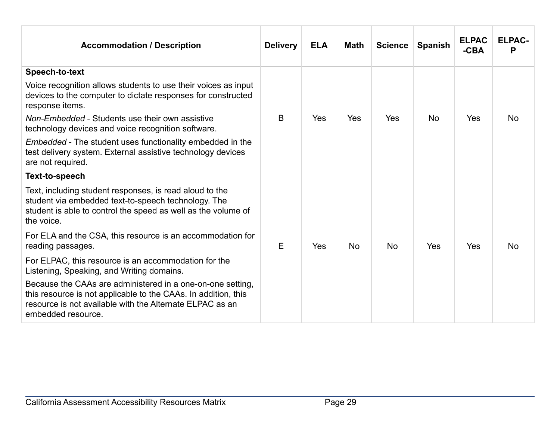| <b>Accommodation / Description</b>                                                                                                                                                                             | <b>Delivery</b> | <b>ELA</b> | <b>Math</b> | <b>Science</b> | <b>Spanish</b> | <b>ELPAC</b><br>$-CBA$ | <b>ELPAC-</b><br>P |
|----------------------------------------------------------------------------------------------------------------------------------------------------------------------------------------------------------------|-----------------|------------|-------------|----------------|----------------|------------------------|--------------------|
| Speech-to-text<br>Voice recognition allows students to use their voices as input                                                                                                                               |                 |            |             |                |                |                        |                    |
| devices to the computer to dictate responses for constructed<br>response items.                                                                                                                                |                 |            |             |                |                |                        |                    |
| Non-Embedded - Students use their own assistive<br>technology devices and voice recognition software.                                                                                                          | B               | <b>Yes</b> | Yes         | Yes            | <b>No</b>      | Yes                    | <b>No</b>          |
| <i>Embedded</i> - The student uses functionality embedded in the<br>test delivery system. External assistive technology devices<br>are not required.                                                           |                 |            |             |                |                |                        |                    |
| Text-to-speech                                                                                                                                                                                                 |                 |            |             |                |                |                        |                    |
| Text, including student responses, is read aloud to the<br>student via embedded text-to-speech technology. The<br>student is able to control the speed as well as the volume of<br>the voice.                  |                 |            |             |                |                |                        |                    |
| For ELA and the CSA, this resource is an accommodation for<br>reading passages.                                                                                                                                | E               | Yes        | <b>No</b>   | <b>No</b>      | Yes            | Yes                    | <b>No</b>          |
| For ELPAC, this resource is an accommodation for the<br>Listening, Speaking, and Writing domains.                                                                                                              |                 |            |             |                |                |                        |                    |
| Because the CAAs are administered in a one-on-one setting,<br>this resource is not applicable to the CAAs. In addition, this<br>resource is not available with the Alternate ELPAC as an<br>embedded resource. |                 |            |             |                |                |                        |                    |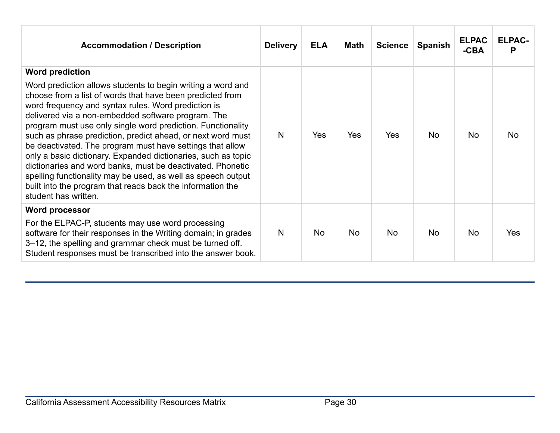| <b>Accommodation / Description</b>                                                                                                                                                                                                                                                                                                                                                                                                                                                                                                                                                                                                                                                                                                              | <b>Delivery</b> | <b>ELA</b> | <b>Math</b> | <b>Science</b> | <b>Spanish</b> | <b>ELPAC</b><br>$-CBA$ | <b>ELPAC-</b><br>P |
|-------------------------------------------------------------------------------------------------------------------------------------------------------------------------------------------------------------------------------------------------------------------------------------------------------------------------------------------------------------------------------------------------------------------------------------------------------------------------------------------------------------------------------------------------------------------------------------------------------------------------------------------------------------------------------------------------------------------------------------------------|-----------------|------------|-------------|----------------|----------------|------------------------|--------------------|
| <b>Word prediction</b><br>Word prediction allows students to begin writing a word and<br>choose from a list of words that have been predicted from<br>word frequency and syntax rules. Word prediction is<br>delivered via a non-embedded software program. The<br>program must use only single word prediction. Functionality<br>such as phrase prediction, predict ahead, or next word must<br>be deactivated. The program must have settings that allow<br>only a basic dictionary. Expanded dictionaries, such as topic<br>dictionaries and word banks, must be deactivated. Phonetic<br>spelling functionality may be used, as well as speech output<br>built into the program that reads back the information the<br>student has written. | N               | <b>Yes</b> | Yes         | Yes            | <b>No</b>      | <b>No</b>              | No                 |
| <b>Word processor</b><br>For the ELPAC-P, students may use word processing<br>software for their responses in the Writing domain; in grades<br>3–12, the spelling and grammar check must be turned off.<br>Student responses must be transcribed into the answer book.                                                                                                                                                                                                                                                                                                                                                                                                                                                                          | N               | <b>No</b>  | No          | <b>No</b>      | <b>No</b>      | <b>No</b>              | Yes                |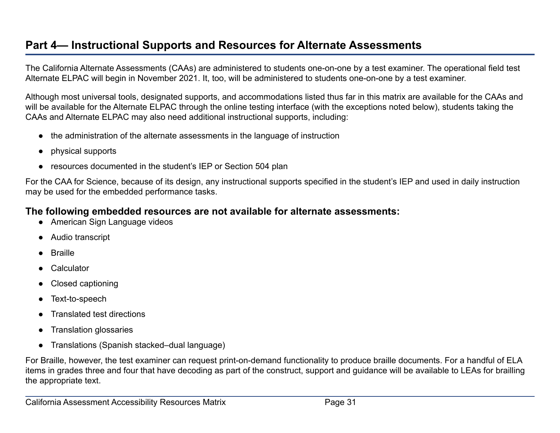## **Part 4— Instructional Supports and Resources for Alternate Assessments**

The California Alternate Assessments (CAAs) are administered to students one-on-one by a test examiner. The operational field test Alternate ELPAC will begin in November 2021. It, too, will be administered to students one-on-one by a test examiner.

Although most universal tools, designated supports, and accommodations listed thus far in this matrix are available for the CAAs and will be available for the Alternate ELPAC through the online testing interface (with the exceptions noted below), students taking the CAAs and Alternate ELPAC may also need additional instructional supports, including:

- the administration of the alternate assessments in the language of instruction
- physical supports
- resources documented in the student's IEP or Section 504 plan

For the CAA for Science, because of its design, any instructional supports specified in the student's IEP and used in daily instruction may be used for the embedded performance tasks.

#### **The following embedded resources are not available for alternate assessments:**

- American Sign Language videos
- Audio transcript
- Braille
- Calculator
- **Closed captioning**
- Text-to-speech
- Translated test directions
- **Translation glossaries**
- Translations (Spanish stacked–dual language)

For Braille, however, the test examiner can request print-on-demand functionality to produce braille documents. For a handful of ELA items in grades three and four that have decoding as part of the construct, support and guidance will be available to LEAs for brailling the appropriate text.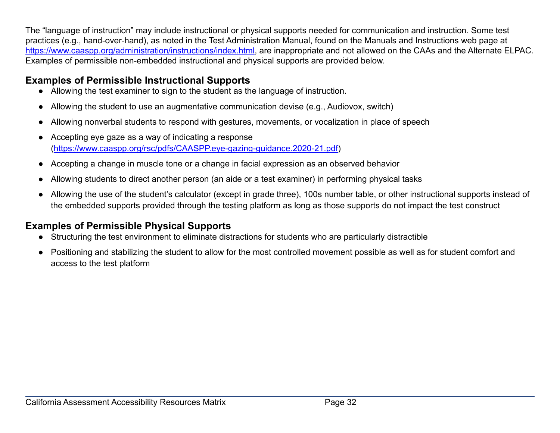The "language of instruction" may include instructional or physical supports needed for communication and instruction. Some test practices (e.g., hand-over-hand), as noted in the Test Administration Manual, found on the Manuals and Instructions web page at <https://www.caaspp.org/administration/instructions/index.html>, are inappropriate and not allowed on the CAAs and the Alternate ELPAC. Examples of permissible non-embedded instructional and physical supports are provided below.

## **Examples of Permissible Instructional Supports**

- Allowing the test examiner to sign to the student as the language of instruction.
- Allowing the student to use an augmentative communication devise (e.g., Audiovox, switch)
- Allowing nonverbal students to respond with gestures, movements, or vocalization in place of speech
- Accepting eye gaze as a way of indicating a response (<https://www.caaspp.org/rsc/pdfs/CAASPP.eye-gazing-guidance.2020-21.pdf>)
- Accepting a change in muscle tone or a change in facial expression as an observed behavior
- Allowing students to direct another person (an aide or a test examiner) in performing physical tasks
- Allowing the use of the student's calculator (except in grade three), 100s number table, or other instructional supports instead of the embedded supports provided through the testing platform as long as those supports do not impact the test construct

## **Examples of Permissible Physical Supports**

- Structuring the test environment to eliminate distractions for students who are particularly distractible
- Positioning and stabilizing the student to allow for the most controlled movement possible as well as for student comfort and access to the test platform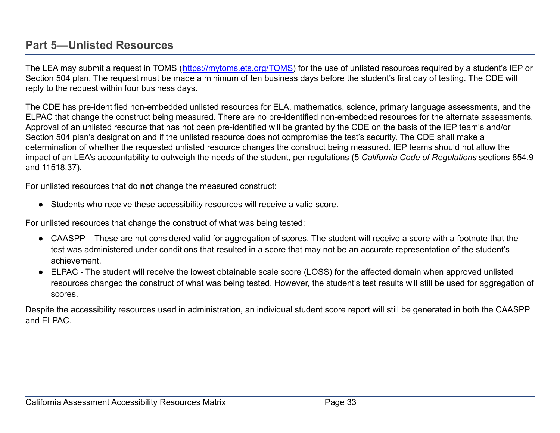## <span id="page-32-0"></span>**Part 5—Unlisted Resources**

The LEA may submit a request in TOMS (<https://mytoms.ets.org/TOMS>) for the use of unlisted resources required by a student's IEP or Section 504 plan. The request must be made a minimum of ten business days before the student's first day of testing. The CDE will reply to the request within four business days.

The CDE has pre-identified non-embedded unlisted resources for ELA, mathematics, science, primary language assessments, and the ELPAC that change the construct being measured. There are no pre-identified non-embedded resources for the alternate assessments. Approval of an unlisted resource that has not been pre-identified will be granted by the CDE on the basis of the IEP team's and/or Section 504 plan's designation and if the unlisted resource does not compromise the test's security. The CDE shall make a determination of whether the requested unlisted resource changes the construct being measured. IEP teams should not allow the impact of an LEA's accountability to outweigh the needs of the student, per regulations (5 *California Code of Regulations* sections 854.9 and 11518.37).

For unlisted resources that do **not** change the measured construct:

● Students who receive these accessibility resources will receive a valid score.

For unlisted resources that change the construct of what was being tested:

- CAASPP These are not considered valid for aggregation of scores. The student will receive a score with a footnote that the test was administered under conditions that resulted in a score that may not be an accurate representation of the student's achievement.
- ELPAC The student will receive the lowest obtainable scale score (LOSS) for the affected domain when approved unlisted resources changed the construct of what was being tested. However, the student's test results will still be used for aggregation of scores.

Despite the accessibility resources used in administration, an individual student score report will still be generated in both the CAASPP and ELPAC.